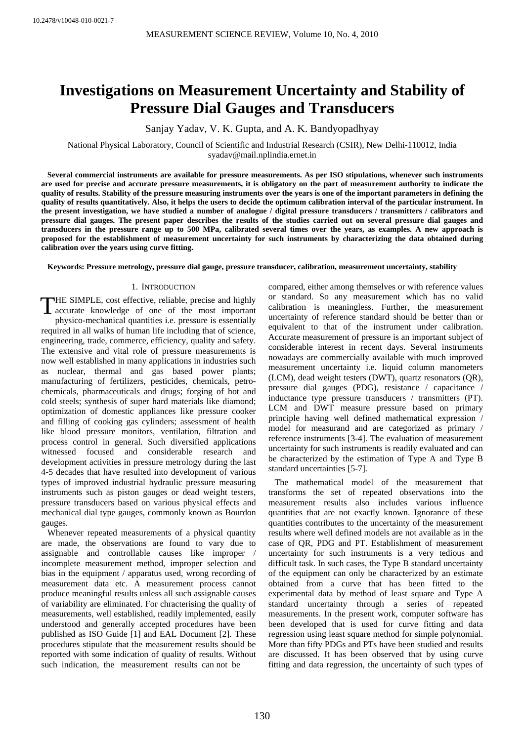# **Investigations on Measurement Uncertainty and Stability of Pressure Dial Gauges and Transducers**

Sanjay Yadav, V. K. Gupta, and A. K. Bandyopadhyay

National Physical Laboratory, Council of Scientific and Industrial Research (CSIR), New Delhi-110012, India syadav@mail.nplindia.ernet.in

**Several commercial instruments are available for pressure measurements. As per ISO stipulations, whenever such instruments are used for precise and accurate pressure measurements, it is obligatory on the part of measurement authority to indicate the quality of results. Stability of the pressure measuring instruments over the years is one of the important parameters in defining the quality of results quantitatively. Also, it helps the users to decide the optimum calibration interval of the particular instrument. In the present investigation, we have studied a number of analogue / digital pressure transducers / transmitters / calibrators and pressure dial gauges. The present paper describes the results of the studies carried out on several pressure dial gauges and transducers in the pressure range up to 500 MPa, calibrated several times over the years, as examples. A new approach is proposed for the establishment of measurement uncertainty for such instruments by characterizing the data obtained during calibration over the years using curve fitting.** 

**Keywords: Pressure metrology, pressure dial gauge, pressure transducer, calibration, measurement uncertainty, stability**

## 1. INTRODUCTION

HE SIMPLE, cost effective, reliable, precise and highly THE SIMPLE, cost effective, reliable, precise and highly accurate knowledge of one of the most important physico-mechanical quantities i.e. pressure is essentially required in all walks of human life including that of science, engineering, trade, commerce, efficiency, quality and safety. The extensive and vital role of pressure measurements is now well established in many applications in industries such as nuclear, thermal and gas based power plants; manufacturing of fertilizers, pesticides, chemicals, petrochemicals, pharmaceuticals and drugs; forging of hot and cold steels; synthesis of super hard materials like diamond; optimization of domestic appliances like pressure cooker and filling of cooking gas cylinders; assessment of health like blood pressure monitors, ventilation, filtration and process control in general. Such diversified applications witnessed focused and considerable research and development activities in pressure metrology during the last 4-5 decades that have resulted into development of various types of improved industrial hydraulic pressure measuring instruments such as piston gauges or dead weight testers, pressure transducers based on various physical effects and mechanical dial type gauges, commonly known as Bourdon gauges.

Whenever repeated measurements of a physical quantity are made, the observations are found to vary due to assignable and controllable causes like improper / incomplete measurement method, improper selection and bias in the equipment / apparatus used, wrong recording of measurement data etc. A measurement process cannot produce meaningful results unless all such assignable causes of variability are eliminated. For chracterising the quality of measurements, well established, readily implemented, easily understood and generally accepted procedures have been published as ISO Guide [1] and EAL Document [2]. These procedures stipulate that the measurement results should be reported with some indication of quality of results. Without such indication, the measurement results can not be

compared, either among themselves or with reference values or standard. So any measurement which has no valid calibration is meaningless. Further, the measurement uncertainty of reference standard should be better than or equivalent to that of the instrument under calibration. Accurate measurement of pressure is an important subject of considerable interest in recent days. Several instruments nowadays are commercially available with much improved measurement uncertainty i.e. liquid column manometers (LCM), dead weight testers (DWT), quartz resonators (QR), pressure dial gauges (PDG), resistance / capacitance / inductance type pressure transducers / transmitters (PT). LCM and DWT measure pressure based on primary principle having well defined mathematical expression / model for measurand and are categorized as primary / reference instruments [3-4]. The evaluation of measurement uncertainty for such instruments is readily evaluated and can be characterized by the estimation of Type A and Type B standard uncertainties [5-7].

The mathematical model of the measurement that transforms the set of repeated observations into the measurement results also includes various influence quantities that are not exactly known. Ignorance of these quantities contributes to the uncertainty of the measurement results where well defined models are not available as in the case of QR, PDG and PT. Establishment of measurement uncertainty for such instruments is a very tedious and difficult task. In such cases, the Type B standard uncertainty of the equipment can only be characterized by an estimate obtained from a curve that has been fitted to the experimental data by method of least square and Type A standard uncertainty through a series of repeated measurements. In the present work, computer software has been developed that is used for curve fitting and data regression using least square method for simple polynomial. More than fifty PDGs and PTs have been studied and results are discussed. It has been observed that by using curve fitting and data regression, the uncertainty of such types of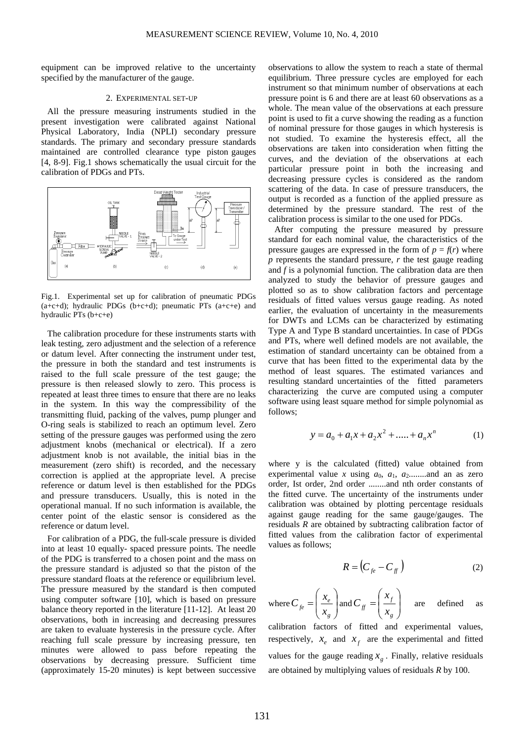equipment can be improved relative to the uncertainty specified by the manufacturer of the gauge.

## 2. EXPERIMENTAL SET-UP

All the pressure measuring instruments studied in the present investigation were calibrated against National Physical Laboratory, India (NPLI) secondary pressure standards. The primary and secondary pressure standards maintained are controlled clearance type piston gauges [4, 8-9]. Fig.1 shows schematically the usual circuit for the calibration of PDGs and PTs.



Fig.1. Experimental set up for calibration of pneumatic PDGs  $(a+c+d)$ ; hydraulic PDGs  $(b+c+d)$ ; pneumatic PTs  $(a+c+e)$  and hydraulic PTs (b+c+e)

The calibration procedure for these instruments starts with leak testing, zero adjustment and the selection of a reference or datum level. After connecting the instrument under test, the pressure in both the standard and test instruments is raised to the full scale pressure of the test gauge; the pressure is then released slowly to zero. This process is repeated at least three times to ensure that there are no leaks in the system. In this way the compressibility of the transmitting fluid, packing of the valves, pump plunger and O-ring seals is stabilized to reach an optimum level. Zero setting of the pressure gauges was performed using the zero adjustment knobs (mechanical or electrical). If a zero adjustment knob is not available, the initial bias in the measurement (zero shift) is recorded, and the necessary correction is applied at the appropriate level. A precise reference or datum level is then established for the PDGs and pressure transducers. Usually, this is noted in the operational manual. If no such information is available, the center point of the elastic sensor is considered as the reference or datum level.

For calibration of a PDG, the full-scale pressure is divided into at least 10 equally- spaced pressure points. The needle of the PDG is transferred to a chosen point and the mass on the pressure standard is adjusted so that the piston of the pressure standard floats at the reference or equilibrium level. The pressure measured by the standard is then computed using computer software [10], which is based on pressure balance theory reported in the literature [11-12]. At least 20 observations, both in increasing and decreasing pressures are taken to evaluate hysteresis in the pressure cycle. After reaching full scale pressure by increasing pressure, ten minutes were allowed to pass before repeating the observations by decreasing pressure. Sufficient time (approximately 15-20 minutes) is kept between successive

observations to allow the system to reach a state of thermal equilibrium. Three pressure cycles are employed for each instrument so that minimum number of observations at each pressure point is 6 and there are at least 60 observations as a whole. The mean value of the observations at each pressure point is used to fit a curve showing the reading as a function of nominal pressure for those gauges in which hysteresis is not studied. To examine the hysteresis effect, all the observations are taken into consideration when fitting the curves, and the deviation of the observations at each particular pressure point in both the increasing and decreasing pressure cycles is considered as the random scattering of the data. In case of pressure transducers, the output is recorded as a function of the applied pressure as determined by the pressure standard. The rest of the calibration process is similar to the one used for PDGs.

After computing the pressure measured by pressure standard for each nominal value, the characteristics of the pressure gauges are expressed in the form of  $p = f(r)$  where *p* represents the standard pressure, *r* the test gauge reading and *f* is a polynomial function. The calibration data are then analyzed to study the behavior of pressure gauges and plotted so as to show calibration factors and percentage residuals of fitted values versus gauge reading. As noted earlier, the evaluation of uncertainty in the measurements for DWTs and LCMs can be characterized by estimating Type A and Type B standard uncertainties. In case of PDGs and PTs, where well defined models are not available, the estimation of standard uncertainty can be obtained from a curve that has been fitted to the experimental data by the method of least squares. The estimated variances and resulting standard uncertainties of the fitted parameters characterizing the curve are computed using a computer software using least square method for simple polynomial as follows;

$$
y = a_0 + a_1 x + a_2 x^2 + \dots + a_n x^n \tag{1}
$$

where y is the calculated (fitted) value obtained from experimental value *x* using  $a_0$ ,  $a_1$ ,  $a_2$ ........and an as zero order, Ist order, 2nd order ........and nth order constants of the fitted curve. The uncertainty of the instruments under calibration was obtained by plotting percentage residuals against gauge reading for the same gauge/gauges. The residuals *R* are obtained by subtracting calibration factor of fitted values from the calibration factor of experimental values as follows;

$$
R = \left(C_{fe} - C_{ff}\right) \tag{2}
$$

where 
$$
C_{fe} = \left(\frac{x_e}{x_g}\right)
$$
 and  $C_{ff} = \left(\frac{x_f}{x_g}\right)$  are defined as

calibration factors of fitted and experimental values, respectively,  $x_e$  and  $x_f$  are the experimental and fitted values for the gauge reading  $x_g$ . Finally, relative residuals are obtained by multiplying values of residuals *R* by 100.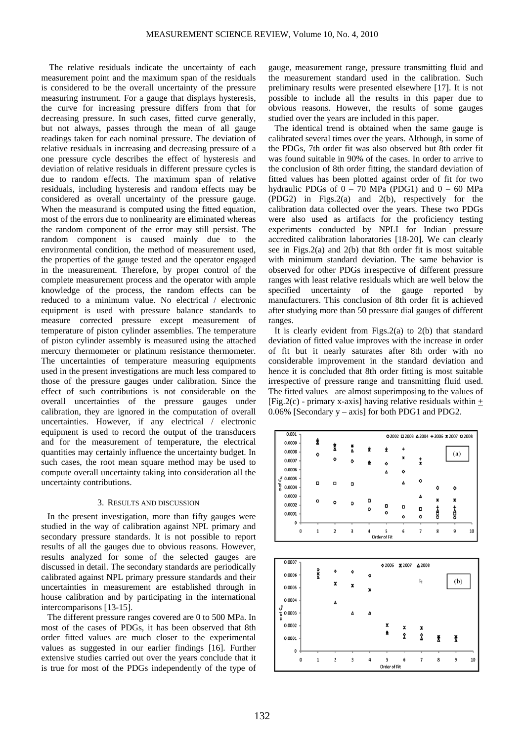The relative residuals indicate the uncertainty of each measurement point and the maximum span of the residuals is considered to be the overall uncertainty of the pressure measuring instrument. For a gauge that displays hysteresis, the curve for increasing pressure differs from that for decreasing pressure. In such cases, fitted curve generally, but not always, passes through the mean of all gauge readings taken for each nominal pressure. The deviation of relative residuals in increasing and decreasing pressure of a one pressure cycle describes the effect of hysteresis and deviation of relative residuals in different pressure cycles is due to random effects. The maximum span of relative residuals, including hysteresis and random effects may be considered as overall uncertainty of the pressure gauge. When the measurand is computed using the fitted equation, most of the errors due to nonlinearity are eliminated whereas the random component of the error may still persist. The random component is caused mainly due to the environmental condition, the method of measurement used, the properties of the gauge tested and the operator engaged in the measurement. Therefore, by proper control of the complete measurement process and the operator with ample knowledge of the process, the random effects can be reduced to a minimum value. No electrical / electronic equipment is used with pressure balance standards to measure corrected pressure except measurement of temperature of piston cylinder assemblies. The temperature of piston cylinder assembly is measured using the attached mercury thermometer or platinum resistance thermometer. The uncertainties of temperature measuring equipments used in the present investigations are much less compared to those of the pressure gauges under calibration. Since the effect of such contributions is not considerable on the overall uncertainties of the pressure gauges under calibration, they are ignored in the computation of overall uncertainties. However, if any electrical / electronic equipment is used to record the output of the transducers and for the measurement of temperature, the electrical quantities may certainly influence the uncertainty budget. In such cases, the root mean square method may be used to compute overall uncertainty taking into consideration all the uncertainty contributions.

### 3. RESULTS AND DISCUSSION

In the present investigation, more than fifty gauges were studied in the way of calibration against NPL primary and secondary pressure standards. It is not possible to report results of all the gauges due to obvious reasons. However, results analyzed for some of the selected gauges are discussed in detail. The secondary standards are periodically calibrated against NPL primary pressure standards and their uncertainties in measurement are established through in house calibration and by participating in the international intercomparisons [13-15].

The different pressure ranges covered are 0 to 500 MPa. In most of the cases of PDGs, it has been observed that 8th order fitted values are much closer to the experimental values as suggested in our earlier findings [16]. Further extensive studies carried out over the years conclude that it is true for most of the PDGs independently of the type of

gauge, measurement range, pressure transmitting fluid and the measurement standard used in the calibration. Such preliminary results were presented elsewhere [17]. It is not possible to include all the results in this paper due to obvious reasons. However, the results of some gauges studied over the years are included in this paper.

The identical trend is obtained when the same gauge is calibrated several times over the years. Although, in some of the PDGs, 7th order fit was also observed but 8th order fit was found suitable in 90% of the cases. In order to arrive to the conclusion of 8th order fitting, the standard deviation of fitted values has been plotted against order of fit for two hydraulic PDGs of  $0 - 70$  MPa (PDG1) and  $0 - 60$  MPa (PDG2) in Figs.2(a) and 2(b), respectively for the calibration data collected over the years. These two PDGs were also used as artifacts for the proficiency testing experiments conducted by NPLI for Indian pressure accredited calibration laboratories [18-20]. We can clearly see in Figs.2(a) and 2(b) that 8th order fit is most suitable with minimum standard deviation. The same behavior is observed for other PDGs irrespective of different pressure ranges with least relative residuals which are well below the specified uncertainty of the gauge reported by manufacturers. This conclusion of 8th order fit is achieved after studying more than 50 pressure dial gauges of different ranges.

It is clearly evident from Figs.2(a) to 2(b) that standard deviation of fitted value improves with the increase in order of fit but it nearly saturates after 8th order with no considerable improvement in the standard deviation and hence it is concluded that 8th order fitting is most suitable irrespective of pressure range and transmitting fluid used. The fitted values are almost superimposing to the values of [Fig.2(c) - primary x-axis] having relative residuals within  $+$ 0.06% [Secondary y – axis] for both PDG1 and PDG2.

|              | 0.001    |         | $0.2002$ 02003 $\triangle$ 2004 + 2006 x 2007 02008 |                |   |         |         |   |   |     |    |
|--------------|----------|---------|-----------------------------------------------------|----------------|---|---------|---------|---|---|-----|----|
| σof          | 0.0009   | X       |                                                     |                |   |         |         |   |   |     |    |
|              | 0.0008   | ۰       |                                                     |                |   |         |         |   |   | (a) |    |
|              | 0.0007   |         | ۰                                                   | $\ddot{\circ}$ |   | ە       | ×       | Ï |   |     |    |
|              | 0.0006   |         |                                                     |                |   | Δ       | ۰       |   |   |     |    |
|              | 0.0005 ٿ |         |                                                     | ۰              |   |         |         | ۰ |   |     |    |
|              | 0.0004   | o       | ۵                                                   |                |   |         | Δ       |   | ە | ♦   |    |
|              | 0.0003   | $\circ$ |                                                     | O              | ۰ |         |         | Δ | x | x   |    |
|              | 0.0002   |         | $\circ$                                             |                | O | о       | O       | 0 |   |     |    |
|              | 0.0001   |         |                                                     |                |   | $\circ$ | $\circ$ | Ó | ĝ | ĝ   |    |
|              | 0        |         |                                                     |                |   |         |         |   |   |     |    |
|              | 0        | 1       | 2                                                   | 3              | 4 | 5       | 6       | 7 | 8 | 9   | 10 |
| Order of Fit |          |         |                                                     |                |   |         |         |   |   |     |    |

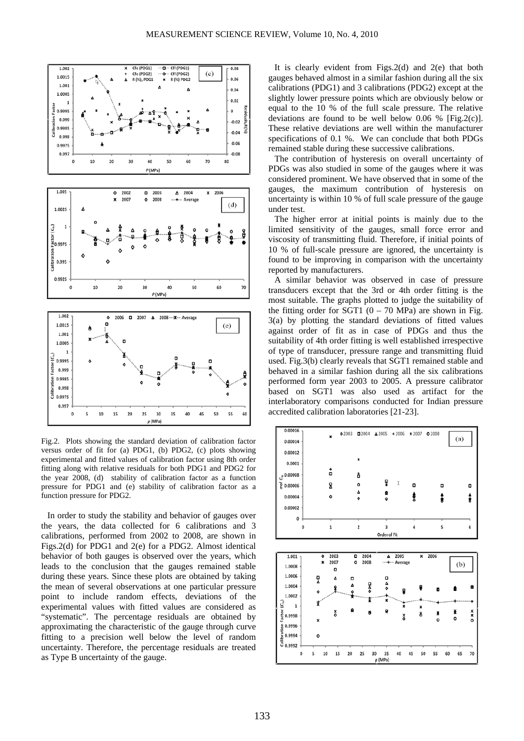

Fig.2. Plots showing the standard deviation of calibration factor versus order of fit for (a) PDG1, (b) PDG2, (c) plots showing experimental and fitted values of calibration factor using 8th order fitting along with relative residuals for both PDG1 and PDG2 for the year 2008, (d) stability of calibration factor as a function pressure for PDG1 and (e) stability of calibration factor as a function pressure for PDG2.

In order to study the stability and behavior of gauges over the years, the data collected for 6 calibrations and 3 calibrations, performed from 2002 to 2008, are shown in Figs.2(d) for PDG1 and 2(e) for a PDG2. Almost identical behavior of both gauges is observed over the years, which leads to the conclusion that the gauges remained stable during these years. Since these plots are obtained by taking the mean of several observations at one particular pressure point to include random effects, deviations of the experimental values with fitted values are considered as "systematic". The percentage residuals are obtained by approximating the characteristic of the gauge through curve fitting to a precision well below the level of random uncertainty. Therefore, the percentage residuals are treated as Type B uncertainty of the gauge.

It is clearly evident from Figs.2(d) and  $2(e)$  that both gauges behaved almost in a similar fashion during all the six calibrations (PDG1) and 3 calibrations (PDG2) except at the slightly lower pressure points which are obviously below or equal to the 10 % of the full scale pressure. The relative deviations are found to be well below 0.06 % [Fig.2(c)]. These relative deviations are well within the manufacturer specifications of 0.1 %. We can conclude that both PDGs remained stable during these successive calibrations.

The contribution of hysteresis on overall uncertainty of PDGs was also studied in some of the gauges where it was considered prominent. We have observed that in some of the gauges, the maximum contribution of hysteresis on uncertainty is within 10 % of full scale pressure of the gauge under test.

The higher error at initial points is mainly due to the limited sensitivity of the gauges, small force error and viscosity of transmitting fluid. Therefore, if initial points of 10 % of full-scale pressure are ignored, the uncertainty is found to be improving in comparison with the uncertainty reported by manufacturers.

A similar behavior was observed in case of pressure transducers except that the 3rd or 4th order fitting is the most suitable. The graphs plotted to judge the suitability of the fitting order for SGT1  $(0 - 70 \text{ MPa})$  are shown in Fig. 3(a) by plotting the standard deviations of fitted values against order of fit as in case of PDGs and thus the suitability of 4th order fitting is well established irrespective of type of transducer, pressure range and transmitting fluid used. Fig.3(b) clearly reveals that SGT1 remained stable and behaved in a similar fashion during all the six calibrations performed form year 2003 to 2005. A pressure calibrator based on SGT1 was also used as artifact for the interlaboratory comparisons conducted for Indian pressure accredited calibration laboratories [21-23].

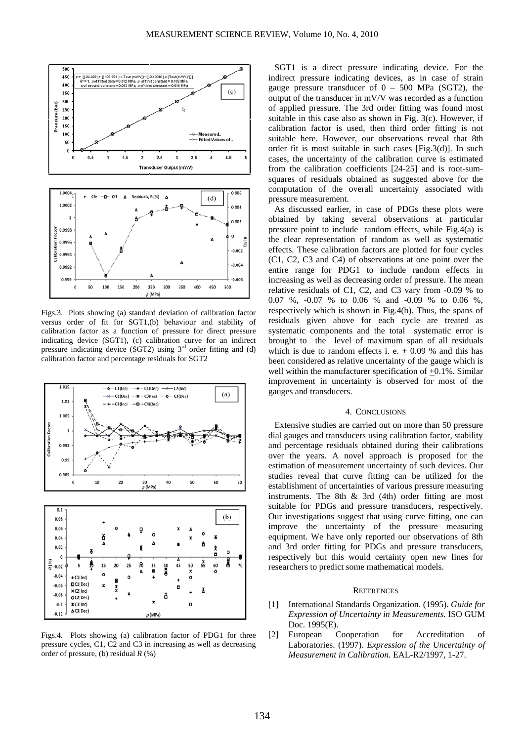

Figs.3. Plots showing (a) standard deviation of calibration factor versus order of fit for SGT1,(b) behaviour and stability of calibration factor as a function of pressure for direct pressure indicating device (SGT1), (c) calibration curve for an indirect pressure indicating device (SGT2) using  $3<sup>rd</sup>$  order fitting and (d) calibration factor and percentage residuals for SGT2



Figs.4. Plots showing (a) calibration factor of PDG1 for three pressure cycles, C1, C2 and C3 in increasing as well as decreasing order of pressure, (b) residual *R* (%)

SGT1 is a direct pressure indicating device. For the indirect pressure indicating devices, as in case of strain gauge pressure transducer of  $0 - 500$  MPa (SGT2), the output of the transducer in mV/V was recorded as a function of applied pressure. The 3rd order fitting was found most suitable in this case also as shown in Fig. 3(c). However, if calibration factor is used, then third order fitting is not suitable here. However, our observations reveal that 8th order fit is most suitable in such cases [Fig.3(d)]. In such cases, the uncertainty of the calibration curve is estimated from the calibration coefficients [24-25] and is root-sumsquares of residuals obtained as suggested above for the computation of the overall uncertainty associated with pressure measurement.

As discussed earlier, in case of PDGs these plots were obtained by taking several observations at particular pressure point to include random effects, while Fig.4(a) is the clear representation of random as well as systematic effects. These calibration factors are plotted for four cycles (C1, C2, C3 and C4) of observations at one point over the entire range for PDG1 to include random effects in increasing as well as decreasing order of pressure. The mean relative residuals of C1, C2, and C3 vary from -0.09 % to 0.07 %, -0.07 % to 0.06 % and -0.09 % to 0.06 %, respectively which is shown in Fig.4(b). Thus, the spans of residuals given above for each cycle are treated as systematic components and the total systematic error is brought to the level of maximum span of all residuals which is due to random effects i. e.  $+0.09$  % and this has been considered as relative uncertainty of the gauge which is well within the manufacturer specification of +0.1%. Similar improvement in uncertainty is observed for most of the gauges and transducers.

## 4. CONCLUSIONS

Extensive studies are carried out on more than 50 pressure dial gauges and transducers using calibration factor, stability and percentage residuals obtained during their calibrations over the years. A novel approach is proposed for the estimation of measurement uncertainty of such devices. Our studies reveal that curve fitting can be utilized for the establishment of uncertainties of various pressure measuring instruments. The 8th & 3rd (4th) order fitting are most suitable for PDGs and pressure transducers, respectively. Our investigations suggest that using curve fitting, one can improve the uncertainty of the pressure measuring equipment. We have only reported our observations of 8th and 3rd order fitting for PDGs and pressure transducers, respectively but this would certainty open new lines for researchers to predict some mathematical models.

#### **REFERENCES**

- [1] International Standards Organization. (1995). *Guide for Expression of Uncertainty in Measurements.* ISO GUM Doc. 1995(E).
- [2] European Cooperation for Accreditation of Laboratories. (1997). *Expression of the Uncertainty of Measurement in Calibration.* EAL-R2/1997, 1-27.